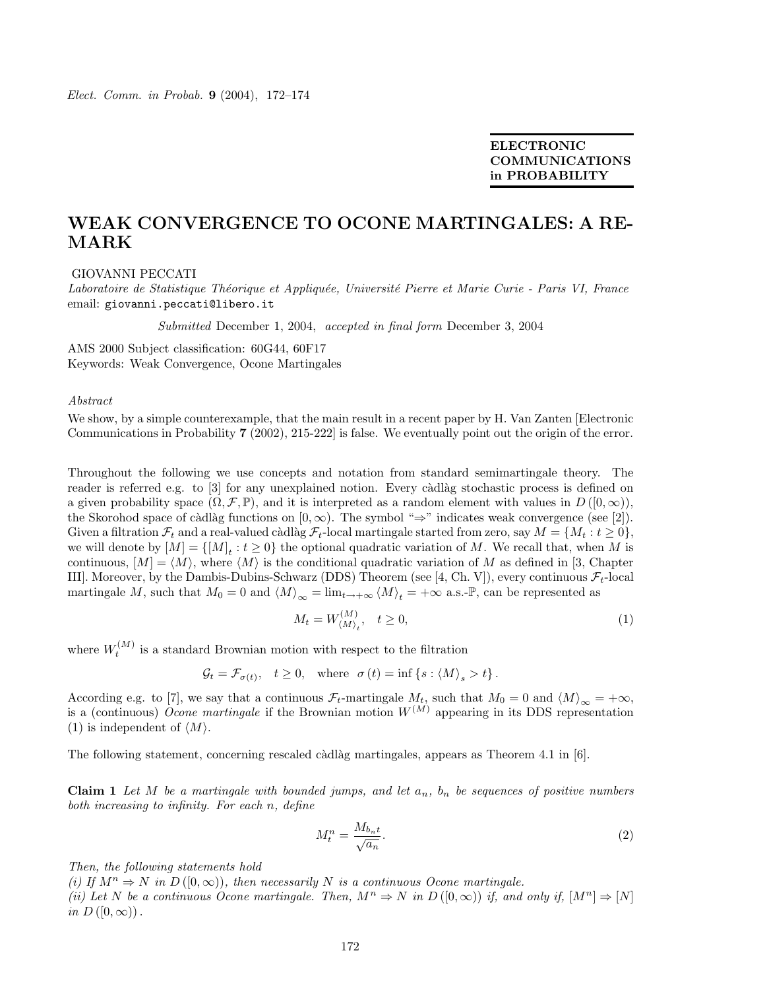ELECTRONIC COMMUNICATIONS in PROBABILITY

## WEAK CONVERGENCE TO OCONE MARTINGALES: A RE-MARK

## GIOVANNI PECCATI

Laboratoire de Statistique Théorique et Appliquée, Université Pierre et Marie Curie - Paris VI, France email: giovanni.peccati@libero.it

Submitted December 1, 2004, accepted in final form December 3, 2004

AMS 2000 Subject classification: 60G44, 60F17 Keywords: Weak Convergence, Ocone Martingales

## Abstract

We show, by a simple counterexample, that the main result in a recent paper by H. Van Zanten [Electronic Communications in Probability 7 (2002), 215-222] is false. We eventually point out the origin of the error.

Throughout the following we use concepts and notation from standard semimartingale theory. The reader is referred e.g. to [3] for any unexplained notion. Every càdlàg stochastic process is defined on a given probability space  $(\Omega, \mathcal{F}, \mathbb{P})$ , and it is interpreted as a random element with values in  $D([0,\infty))$ , the Skorohod space of càdlàg functions on  $[0, \infty)$ . The symbol "⇒" indicates weak convergence (see [2]). Given a filtration  $\mathcal{F}_t$  and a real-valued càdlàg  $\mathcal{F}_t$ -local martingale started from zero, say  $M = \{M_t : t \geq 0\}$ , we will denote by  $[M] = \{[M]_t : t \geq 0\}$  the optional quadratic variation of M. We recall that, when M is continuous,  $[M] = \langle M \rangle$ , where  $\langle M \rangle$  is the conditional quadratic variation of M as defined in [3, Chapter III]. Moreover, by the Dambis-Dubins-Schwarz (DDS) Theorem (see [4, Ch. V]), every continuous  $\mathcal{F}_t$ -local martingale M, such that  $M_0 = 0$  and  $\langle M \rangle_{\infty} = \lim_{t \to +\infty} \langle M \rangle_t = +\infty$  a.s.-P, can be represented as

$$
M_t = W_{\langle M \rangle_t}^{(M)}, \quad t \ge 0,\tag{1}
$$

where  $W_t^{(M)}$  is a standard Brownian motion with respect to the filtration

$$
\mathcal{G}_t = \mathcal{F}_{\sigma(t)}, \quad t \ge 0, \quad \text{where} \quad \sigma(t) = \inf \left\{ s : \langle M \rangle_s > t \right\}.
$$

According e.g. to [7], we say that a continuous  $\mathcal{F}_t$ -martingale  $M_t$ , such that  $M_0 = 0$  and  $\langle M \rangle_{\infty} = +\infty$ , is a (continuous) Ocone martingale if the Brownian motion  $W^{(M)}$  appearing in its DDS representation (1) is independent of  $\langle M \rangle$ .

The following statement, concerning rescaled càdlàg martingales, appears as Theorem 4.1 in  $[6]$ .

**Claim 1** Let M be a martingale with bounded jumps, and let  $a_n$ ,  $b_n$  be sequences of positive numbers both increasing to infinity. For each n, define

$$
M_t^n = \frac{M_{b_n t}}{\sqrt{a_n}}.\tag{2}
$$

Then, the following statements hold

(i) If  $M^n \Rightarrow N$  in  $D([0,\infty))$ , then necessarily N is a continuous Ocone martingale.

(ii) Let N be a continuous Ocone martingale. Then,  $M^n \Rightarrow N$  in  $D([0,\infty))$  if, and only if,  $[M^n] \Rightarrow [N]$ in  $D([0,\infty))$ .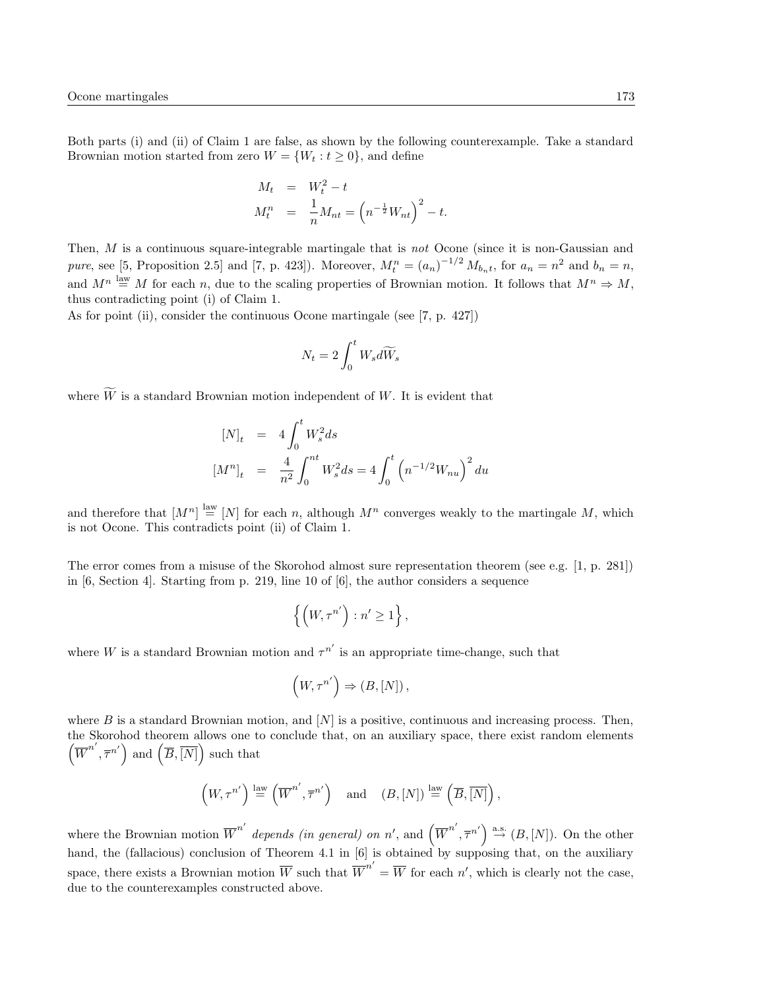Both parts (i) and (ii) of Claim 1 are false, as shown by the following counterexample. Take a standard Brownian motion started from zero  $W = \{W_t : t \geq 0\}$ , and define

$$
M_t = W_t^2 - t
$$
  

$$
M_t^n = \frac{1}{n} M_{nt} = (n^{-\frac{1}{2}} W_{nt})^2 - t.
$$

Then, M is a continuous square-integrable martingale that is not Ocone (since it is non-Gaussian and pure, see [5, Proposition 2.5] and [7, p. 423]). Moreover,  $M_t^n = (a_n)^{-1/2} M_{b_n t}$ , for  $a_n = n^2$  and  $b_n = n$ , and  $M^n \stackrel{\text{law}}{=} M$  for each n, due to the scaling properties of Brownian motion. It follows that  $M^n \Rightarrow M$ , thus contradicting point (i) of Claim 1.

As for point (ii), consider the continuous Ocone martingale (see [7, p. 427])

$$
N_t=2\int_0^t W_s d\widetilde{W}_s
$$

where  $\widetilde{W}$  is a standard Brownian motion independent of W. It is evident that

$$
[N]_t = 4 \int_0^t W_s^2 ds
$$
  
\n
$$
[M^n]_t = \frac{4}{n^2} \int_0^{nt} W_s^2 ds = 4 \int_0^t \left( n^{-1/2} W_{nu} \right)^2 du
$$

and therefore that  $[M^n] \stackrel{\text{law}}{=} [N]$  for each n, although  $M^n$  converges weakly to the martingale M, which is not Ocone. This contradicts point (ii) of Claim 1.

The error comes from a misuse of the Skorohod almost sure representation theorem (see e.g. [1, p. 281]) in [6, Section 4]. Starting from p. 219, line 10 of [6], the author considers a sequence

$$
\left\{\left(W, \tau^{n'}\right) : n' \geq 1\right\},\
$$

where W is a standard Brownian motion and  $\tau^{n'}$  is an appropriate time-change, such that

$$
\Big(W, \tau^{n'}\Big)\Rightarrow (B, [N])\,,
$$

where  $B$  is a standard Brownian motion, and  $[N]$  is a positive, continuous and increasing process. Then, the Skorohod theorem allows one to conclude that, on an auxiliary space, there exist random elements  $(\overline{W}^{n'}, \overline{\tau}^{n'})$  and  $(\overline{B}, \overline{[N]})$  such that

$$
\left(W, \tau^{n'}\right) \stackrel{\text{law}}{=} \left(\overline{W}^{n'}, \overline{\tau}^{n'}\right) \quad \text{and} \quad (B, [N]) \stackrel{\text{law}}{=} \left(\overline{B}, \overline{[N]}\right),
$$

where the Brownian motion  $\overline{W}^{n'}$  depends (in general) on n', and  $(\overline{W}^{n'}, \overline{\tau}^{n'}) \stackrel{\text{a.s.}}{\rightarrow} (B, [N])$ . On the other hand, the (fallacious) conclusion of Theorem 4.1 in [6] is obtained by supposing that, on the auxiliary space, there exists a Brownian motion  $\overline{W}$  such that  $\overline{W}^{n'} = \overline{W}$  for each n', which is clearly not the case, due to the counterexamples constructed above.